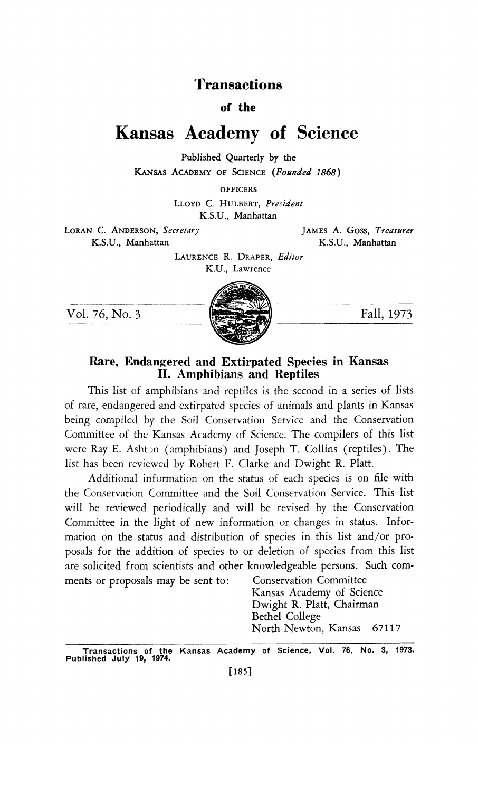## 'Transactions

### of the

# Kansas Academy of Science

 Published Quarterly by the KANSAS ACADEMY OF SCIENCE (Founded 1868)

**OFFICERS** 

LLOYD C. HULBERT, President K.S.U., Manhattan

LORAN C. ANDERSON, Secretary JAMES A. GOSS, Treasurer<br>K.S.U., Manhattan K.S.U., Manhattan K.S.U., Manhattan

LAURENCE R. DRAPER, Editor K.U., Lawrence





### Rare, Endangered and Extirpated Species in Kansas II. Amphibians and Reptiles

 This list of amphibians and reptiles is the second in a series of lists of rare, endangered and extirpated species of animals and plants in Kansas being compiled by the Soil Conservation Service and the Conservation Committee of the Kansas Academy of Science. The compilers of this list were Ray E. Ashton (amphibians) and Joseph T. Collins (reptiles). The list has been reviewed by Robert F. Clarke and Dwight R. Platt.

Additional information on the status of each species is on file with the Conservation Committee and the Soil Conservation Service. This list will be reviewed periodically and will be revised by the Conservation Committee in the light of new information or changes in status. Infor mation on the status and distribution of species in this list and/or pro posals for the addition of species to or deletion of species from this list are solicited from scientists and other knowledgeable persons. Such com ments or proposals may be sent to: Conservation Committee

 Kansas Academy of Science Dwight R. Platt, Chairman Bethel College North Newton, Kansas 67117

Transactions of the Kansas Academy of Science, Vol. 76, No. 3, 1973.<br>Published July 19, 1974.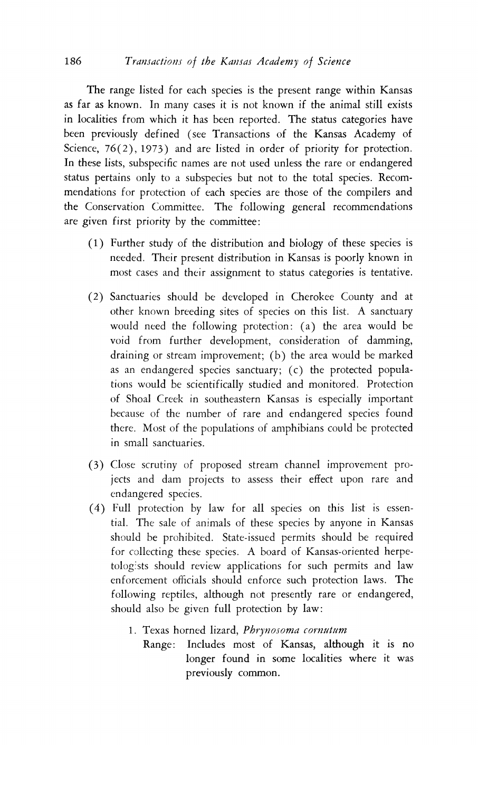The range listed for each species is the present range within Kansas as far as known. In many cases it is not known if the animal still exists in localities from which it has been reported. The status categories have been previously defined (see Transactions of the Kansas Academy of Science, 76(2), 1973) and are listed in order of priority for protection. In these lists, subspecific names are not used unless the rare or endangered status pertains only to a subspecies but not to the total species. Recom mendations for protection of each species are those of the compilers and the Conservation Committee. The following general recommendations are given first priority by the committee:

- (1) Further study of the distribution and biology of these species is needed. Their present distribution in Kansas is poorly known in most cases and their assignment to status categories is tentative.
- (2) Sanctuaries should be developed in Cherokee County and at other known breeding sites of species on this list. A sanctuary would need the following protection: (a) the area would be void from further development, consideration of damming, draining or stream improvement; (b) the area would be marked as an endangered species sanctuary; (c) the protected popula tions would be scientifically studied and monitored. Protection of Shoal Creek in southeastern Kansas is especially important because of the number of rare and endangered species found there. Most of the populations of amphibians could be protected in small sanctuaries.
- (3) Close scrutiny of proposed stream channel improvement pro jects and dam projects to assess their effect upon rare and endangered species.
- $(4)$  Full protection by law for all species on this list is essen tial. The sale of animals of these species by anyone in Kansas should be prohibited. State-issued permits should be required for collecting these species. A board of Kansas-oriented herpe tologists should review applications for such permits and law enforcement officials should enforce such protection laws. The following reptiles, although not presently rare or endangered, should also be given full protection by law:
	- 1. Texas horned lizard, Phrynosoma cornutum
		- Range: Includes most of Kansas, although it is no longer found in some localities where it was previously common.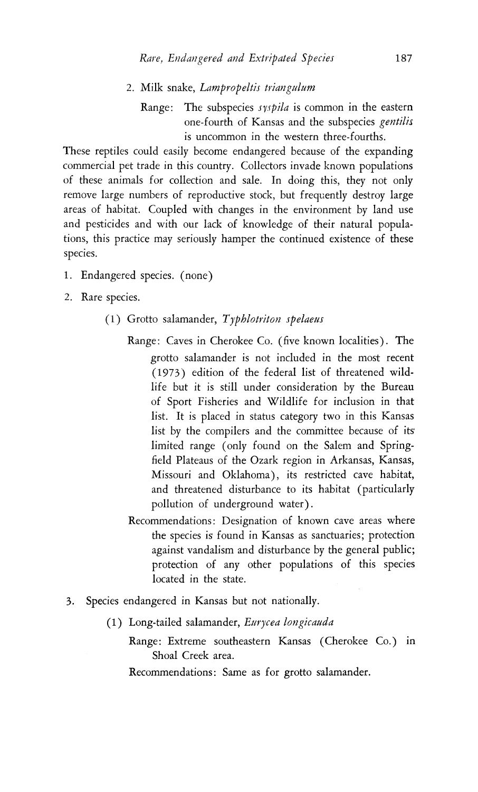- 2. Milk snake, Lampropeltis triangulum
	- Range: The subspecies *syspila* is common in the eastern one-fourth of Kansas and the subspecies gentilis is uncommon in the western three-fourths.

 These reptiles could easily become endangered because of the expanding commercial pet trade in this country. Collectors invade known populations of these animals for collection and sale. In doing this, they not only remove large numbers of reproductive stock, but frequently destroy large areas of habitat. Coupled with changes in the environment by land use and pesticides and with our lack of knowledge of their natural popula tions, this practice may seriously hamper the continued existence of these species.

- 1. Endangered species. (none) 2. Rare species.
- - (1) Grotto salamander,  $Typhlotriton$  spelaeus
		- Range: Caves in Cherokee Co. (five known localities). The grotto salamander is not included in the most recent (1973) edition of the federal list of threatened wild life but it is still under consideration by the Bureau of Sport Fisheries and Wildlife for inclusion in that list. It is placed in status category two in this Kansas list by the compilers and the committee because of its limited range (only found on the Salem and Spring field Plateaus of the Ozark region in Arkansas, Kansas, Missouri and Oklahoma), its restricted cave habitat, and threatened disturbance to its habitat (particularly pollution of underground water).
		- Recommendations: Designation of known cave areas where the species is found in Kansas as sanctuaries; protection against vandalism and disturbance by the general public; protection of any other populations of this species located in the state.
- 3. Species endangered in Kansas but not nationally.
	- (1) Long-tailed salamander, Eurycea longicauda
		- Range: Extreme southeastern Kansas (Cherokee Co.) in Shoal Creek area.

Recommendations: Same as for grotto salamander.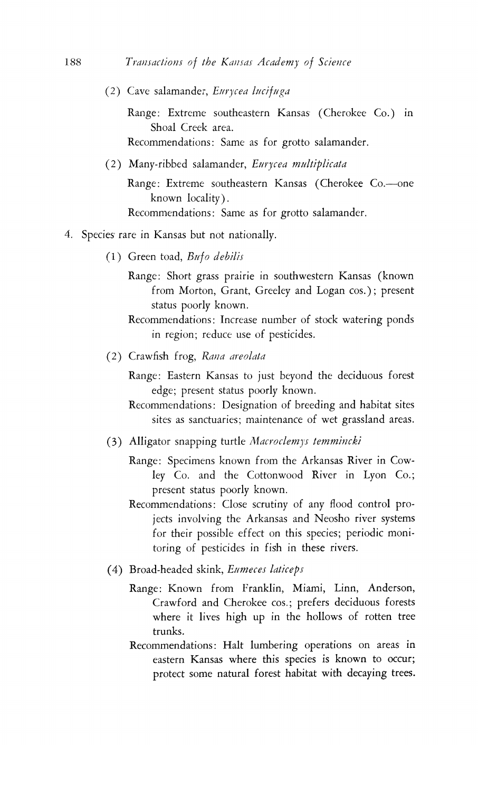(2) Cave salamander, Eurycea lucifuga

 Range: Extreme southeastern Kansas (Cherokee Co.) in Shoal Creek area. Recommendations: Same as for grotto salamander.

(2) Many-ribbed salamander, Eurycea multiplicata

Range: Extreme southeastern Kansas (Cherokee Co.---one known locality). Recommendations: Same as for grotto salamander.

- 4. Species rare in Kansas but not nationally.
	- (1) Green toad,  $Bufo$  debilis
		- Range: Short grass prairie in southwestern Kansas (known from Morton, Grant, Greeley and Logan cos.); present status poorly known.
		- Recommendations: Increase number of stock watering ponds in region; reduce use of pesticides.
	- (2) Crawfish frog, Rana areolata
		- Range: Eastern Kansas to just beyond the deciduous forest edge; present status poorly known.
		- Recommendations: Designation of breeding and habitat sites sites as sanctuaries; maintenance of wet grassland areas.
	- (3) Alligator snapping turtle Macroclemys temmincki
		- Range: Specimens known from the Arkansas River in Cow ley Co. and the Cottonwood River in Lyon Co.; present status poorly known.
		- Recommendations: Close scrutiny of any flood control pro jects involving the Arkansas and Neosho river systems for their possible effect on this species; periodic moni toring of pesticides in fish in these rivers.
	- (4) Broad-headed skink, Eumeces laticeps
		- Range: Known from Franklin, Miami, Linn, Anderson, Crawford and Cherokee cos.; prefers deciduous forests where it lives high up in the hollows of rotten tree trunks.
		- Recommendations: Halt lumbering operations on areas in eastern Kansas where this species is known to occur; protect some natural forest habitat with decaying trees.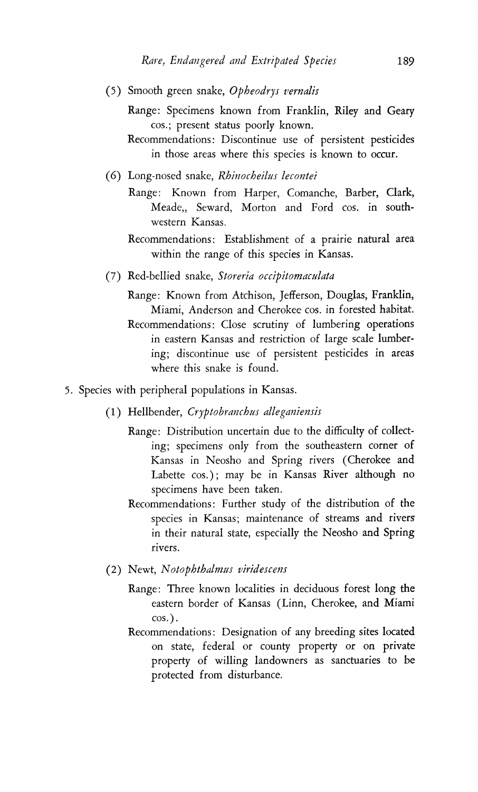- (5) Smooth green snake,  $Oph$ eodrys vernalis
	- Range: Specimens known from Franklin, Riley and Geary cos.; present status poorly known.
	- Recommendations: Discontinue use of persistent pesticides in those areas where this species is known to occur.
- (6) Long-nosed snake, Rhinocheilus lecontei
	- Range: Known from Harper, Comanche, Barber, Clark, Meade,, Seward, Morton and Ford cos. in south western Kansas.
	- Recommendations: Establishment of a prairie natural area within the range of this species in Kansas.
- (7) Red-bellied snake, Storeria occipitomaculata
	- Range: Known from Atchison, Jefferson, Douglas, Franklin, Miami, Anderson and Cherokee cos. in forested habitat. Recommendations: Close scrutiny of lumbering operations in eastern Kansas and restriction of large scale lumber ing; discontinue use of persistent pesticides in areas where this snake is found.
- 5. Species with peripheral populations in Kansas.
	- (1) Hellbender, Cryptobranchus alleganiensis
		- Range: Distribution uncertain due to the difficulty of collect ing; specimens only from the southeastern corner of Kansas in Neosho and Spring rivers (Cherokee and Labette cos. ); may be in Kansas River although no specimens have been taken.
		- Recommendations: Further study of the distribution of the species in Kansas; maintenance of streams and rivers in their natural state, especially the Neosho and Spring rivers.
	- (2) Newt, Notophthalmus viridescens
		- Range: Three known localities in deciduous forest long the eastern border of Kansas (Linn, Cherokee, and Miami  $cos.$ ).
		- Recommendations: Designation of any breeding sites located on state, federal or county property or on private property of willing landowners as sanctuaries to be protected from disturbance.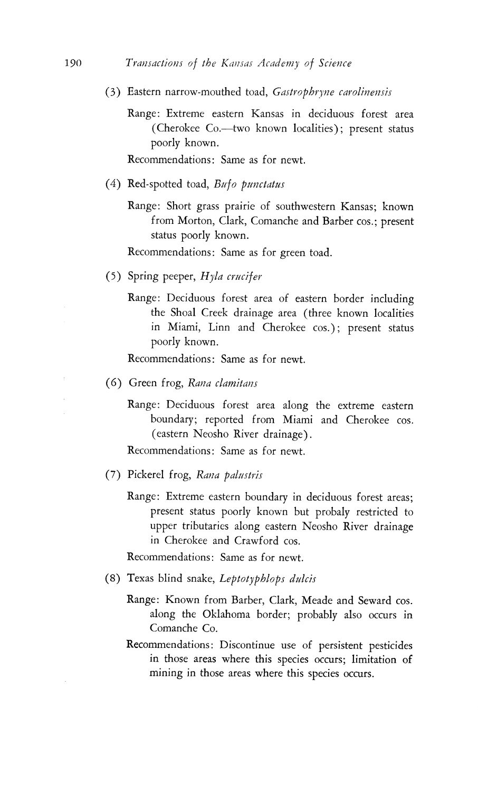- (3) Eastern narrow-mouthed toad, Gastrophryne carolinensis
	- Range: Extreme eastern Kansas in deciduous forest area (Cherokee Co.--two known localities); present status poorly known.

Recommendations: Same as for newt.

- (4) Red-spotted toad,  $Bufo$  punctatus
	- Range: Short grass prairie of southwestern Kansas; known from Morton, Clark, Comanche and Barber cos.; present status poorly known.

Recommendations: Same as for green toad.

- (5) Spring peeper,  $H$ yla crucifer
	- Range: Deciduous forest area of eastern border including the Shoal Creek drainage area (three known localities in Miami, Linn and Cherokee cos. ); present status poorly known.

Recommendations: Same as for newt.

- (6) Green frog, Rana clamitans
	- Range: Deciduous forest area along the extreme eastern boundary; reported from Miami and Cherokee cos. (eastern Neosho River drainage).

Recommendations: Same as for newt.

- (7) Pickerel frog, Rana palustris
	- Range: Extreme eastern boundary in deciduous forest areas; present status poorly known but probaly restricted to upper tributaries along eastern Neosho River drainage in Cherokee and Crawford cos.

Recommendations: Same as for newt.

- (8) Texas blind snake, Leptotyphlops dulcis
	- Range: Known from Barber, Clark, Meade and Seward cos. along the Oklahoma border; probably also occurs in Comanche Co. the Channel Communist Channel Communist Communist Communist Communist Communist Communist Communist Communist Communist Communist Communist Communist Communist Communist Communist Communist Communist Communist Communist Co
	- Recommendations: Discontinue use of persistent pesticides in those areas where this species occurs; limitation of mining in those areas where this species occurs.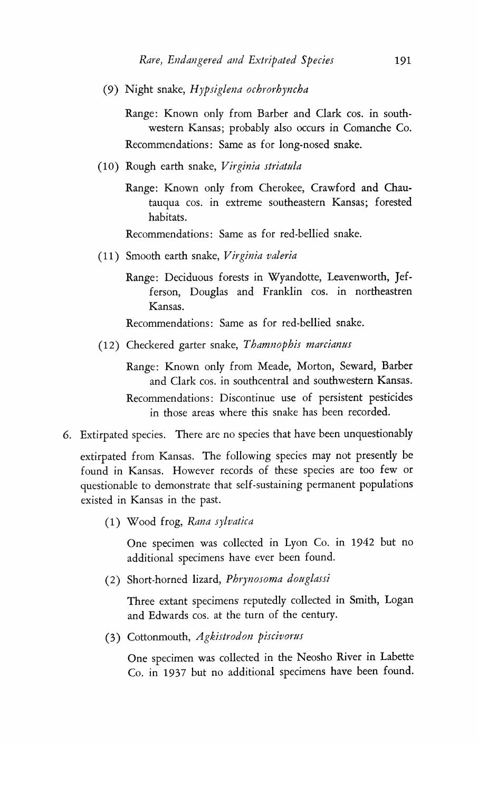(9) Night snake, Hypsiglena orbrothyncha

 Range: Known only from Barber and Clark cos. in south western Kansas; probably also occurs in Comanche Co. Recommendations: Same as for long-nosed snake.

- $(10)$  Rough earth snake, Virginia striatula
	- Range: Known only from Cherokee, Crawford and Chautauqua cos. in extreme southeastern Kansas; forested habitats.

Recommendations: Same as for red-bellied snake

- (11) Smooth earth snake, Virginia valeria
	- Range: Deciduous forests in Wyandotte, Leavenworth, Jefferson, Douglas and Franklin cos. in northeastren Kansas.

Recommendations: Same as for red-bellied snake.

(12) Checkered garter snake, Thamnophis marcianus

 Range: Known only from Meade, Morton, Seward, Barber and Clark cos. in southcentral and southwestern Kansas. Recommendations: Discontinue use of persistent pesticides in those areas where this snake has been recorded.

6. Extirpated species. There are no species that have been unquestionably

 extirpated from Kansas. The following species may not presently be found in Kansas. However records of these species are too few or questionable to demonstrate that self-sustaining permanent populations existed in Kansas in the past.

 $(1)$  Wood frog, Rana sylvatica

 One specimen was collected in Lyon Co. in 1942 but no additional specimens have ever been found.

(2) Short-horned lizard, Phrynosoma douglassi

 Three extant specimens reputedly collected in Smith, Logan and Edwards cos. at the turn of the century.

(3) Cottonmouth, Agkistrodon piscivorus

 One specimen was collected in the Neosho River in Labette Co. in 1937 but no additional specimens have been found.